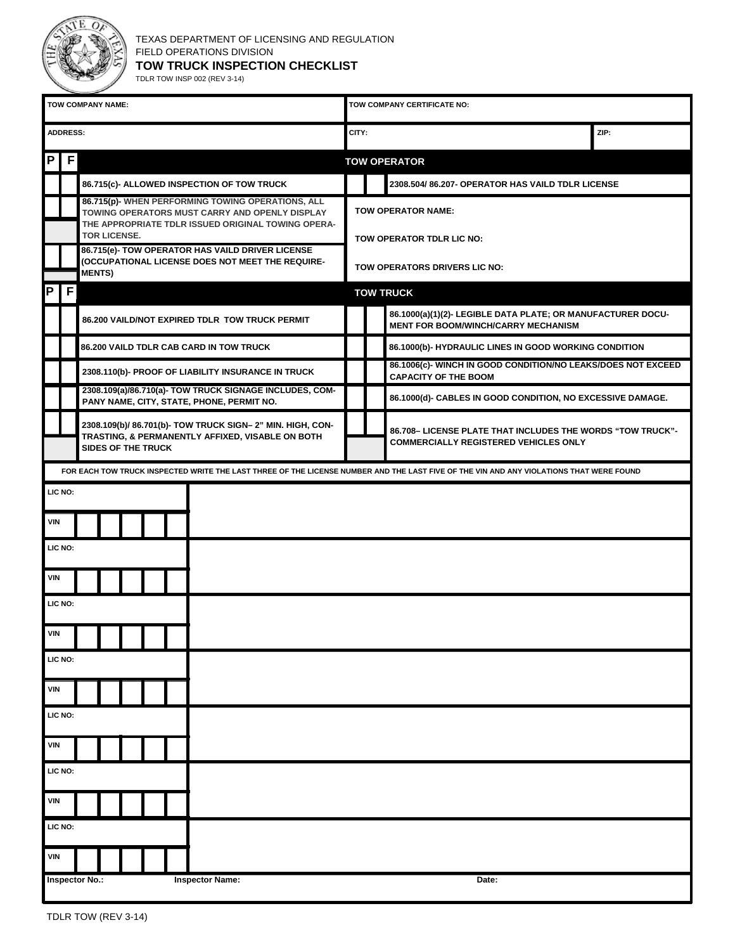

| TOW COMPANY NAME:                                                                                                                       |                                                                                                                                            |                                                                                                      |  |                     |  |  |                                                                                                                                                           | TOW COMPANY CERTIFICATE NO:                      |                                                                                                            |                                                                                                           |  |  |  |
|-----------------------------------------------------------------------------------------------------------------------------------------|--------------------------------------------------------------------------------------------------------------------------------------------|------------------------------------------------------------------------------------------------------|--|---------------------|--|--|-----------------------------------------------------------------------------------------------------------------------------------------------------------|--------------------------------------------------|------------------------------------------------------------------------------------------------------------|-----------------------------------------------------------------------------------------------------------|--|--|--|
| <b>ADDRESS:</b>                                                                                                                         |                                                                                                                                            |                                                                                                      |  |                     |  |  |                                                                                                                                                           |                                                  | CITY:<br>ZIP:                                                                                              |                                                                                                           |  |  |  |
| P                                                                                                                                       | F                                                                                                                                          |                                                                                                      |  |                     |  |  |                                                                                                                                                           |                                                  | <b>TOW OPERATOR</b>                                                                                        |                                                                                                           |  |  |  |
|                                                                                                                                         |                                                                                                                                            |                                                                                                      |  |                     |  |  | 86.715(c)- ALLOWED INSPECTION OF TOW TRUCK                                                                                                                | 2308.504/86.207- OPERATOR HAS VAILD TDLR LICENSE |                                                                                                            |                                                                                                           |  |  |  |
|                                                                                                                                         |                                                                                                                                            |                                                                                                      |  | <b>TOR LICENSE.</b> |  |  | 86.715(p)- WHEN PERFORMING TOWING OPERATIONS, ALL<br>TOWING OPERATORS MUST CARRY AND OPENLY DISPLAY<br>THE APPROPRIATE TDLR ISSUED ORIGINAL TOWING OPERA- | TOW OPERATOR NAME:<br>TOW OPERATOR TDLR LIC NO:  |                                                                                                            |                                                                                                           |  |  |  |
|                                                                                                                                         |                                                                                                                                            | <b>MENTS)</b>                                                                                        |  |                     |  |  | 86.715(e)- TOW OPERATOR HAS VAILD DRIVER LICENSE<br>(OCCUPATIONAL LICENSE DOES NOT MEET THE REQUIRE-                                                      | TOW OPERATORS DRIVERS LIC NO:                    |                                                                                                            |                                                                                                           |  |  |  |
| P                                                                                                                                       | F                                                                                                                                          |                                                                                                      |  |                     |  |  |                                                                                                                                                           | <b>TOW TRUCK</b>                                 |                                                                                                            |                                                                                                           |  |  |  |
|                                                                                                                                         |                                                                                                                                            | 86.200 VAILD/NOT EXPIRED TDLR TOW TRUCK PERMIT                                                       |  |                     |  |  |                                                                                                                                                           |                                                  |                                                                                                            | 86.1000(a)(1)(2)- LEGIBLE DATA PLATE; OR MANUFACTURER DOCU-<br><b>MENT FOR BOOM/WINCH/CARRY MECHANISM</b> |  |  |  |
|                                                                                                                                         |                                                                                                                                            | 86,200 VAILD TDLR CAB CARD IN TOW TRUCK                                                              |  |                     |  |  |                                                                                                                                                           |                                                  |                                                                                                            | 86.1000(b)- HYDRAULIC LINES IN GOOD WORKING CONDITION                                                     |  |  |  |
|                                                                                                                                         |                                                                                                                                            | 2308.110(b)- PROOF OF LIABILITY INSURANCE IN TRUCK                                                   |  |                     |  |  |                                                                                                                                                           |                                                  |                                                                                                            | 86.1006(c)- WINCH IN GOOD CONDITION/NO LEAKS/DOES NOT EXCEED<br><b>CAPACITY OF THE BOOM</b>               |  |  |  |
|                                                                                                                                         |                                                                                                                                            | 2308.109(a)/86.710(a)- TOW TRUCK SIGNAGE INCLUDES, COM-<br>PANY NAME, CITY, STATE, PHONE, PERMIT NO. |  |                     |  |  |                                                                                                                                                           |                                                  |                                                                                                            | 86.1000(d)- CABLES IN GOOD CONDITION, NO EXCESSIVE DAMAGE.                                                |  |  |  |
|                                                                                                                                         | 2308.109(b)/ 86.701(b)- TOW TRUCK SIGN-2" MIN. HIGH, CON-<br>TRASTING, & PERMANENTLY AFFIXED, VISABLE ON BOTH<br><b>SIDES OF THE TRUCK</b> |                                                                                                      |  |                     |  |  |                                                                                                                                                           |                                                  | 86.708- LICENSE PLATE THAT INCLUDES THE WORDS "TOW TRUCK"-<br><b>COMMERCIALLY REGISTERED VEHICLES ONLY</b> |                                                                                                           |  |  |  |
| FOR EACH TOW TRUCK INSPECTED WRITE THE LAST THREE OF THE LICENSE NUMBER AND THE LAST FIVE OF THE VIN AND ANY VIOLATIONS THAT WERE FOUND |                                                                                                                                            |                                                                                                      |  |                     |  |  |                                                                                                                                                           |                                                  |                                                                                                            |                                                                                                           |  |  |  |
| LIC NO:                                                                                                                                 |                                                                                                                                            |                                                                                                      |  |                     |  |  |                                                                                                                                                           |                                                  |                                                                                                            |                                                                                                           |  |  |  |
| <b>VIN</b>                                                                                                                              |                                                                                                                                            |                                                                                                      |  |                     |  |  |                                                                                                                                                           |                                                  |                                                                                                            |                                                                                                           |  |  |  |
| LIC NO:                                                                                                                                 |                                                                                                                                            |                                                                                                      |  |                     |  |  |                                                                                                                                                           |                                                  |                                                                                                            |                                                                                                           |  |  |  |
| <b>VIN</b>                                                                                                                              |                                                                                                                                            |                                                                                                      |  |                     |  |  |                                                                                                                                                           |                                                  |                                                                                                            |                                                                                                           |  |  |  |
| LIC NO:                                                                                                                                 |                                                                                                                                            |                                                                                                      |  |                     |  |  |                                                                                                                                                           |                                                  |                                                                                                            |                                                                                                           |  |  |  |
| <b>VIN</b>                                                                                                                              |                                                                                                                                            |                                                                                                      |  |                     |  |  |                                                                                                                                                           |                                                  |                                                                                                            |                                                                                                           |  |  |  |
| LIC NO:                                                                                                                                 |                                                                                                                                            |                                                                                                      |  |                     |  |  |                                                                                                                                                           |                                                  |                                                                                                            |                                                                                                           |  |  |  |
| <b>VIN</b>                                                                                                                              |                                                                                                                                            |                                                                                                      |  |                     |  |  |                                                                                                                                                           |                                                  |                                                                                                            |                                                                                                           |  |  |  |
| LIC NO:                                                                                                                                 |                                                                                                                                            |                                                                                                      |  |                     |  |  |                                                                                                                                                           |                                                  |                                                                                                            |                                                                                                           |  |  |  |
| <b>VIN</b>                                                                                                                              |                                                                                                                                            |                                                                                                      |  |                     |  |  |                                                                                                                                                           |                                                  |                                                                                                            |                                                                                                           |  |  |  |
| LIC NO:                                                                                                                                 |                                                                                                                                            |                                                                                                      |  |                     |  |  |                                                                                                                                                           |                                                  |                                                                                                            |                                                                                                           |  |  |  |
| <b>VIN</b>                                                                                                                              |                                                                                                                                            |                                                                                                      |  |                     |  |  |                                                                                                                                                           |                                                  |                                                                                                            |                                                                                                           |  |  |  |
| LIC NO:                                                                                                                                 |                                                                                                                                            |                                                                                                      |  |                     |  |  |                                                                                                                                                           |                                                  |                                                                                                            |                                                                                                           |  |  |  |
| <b>VIN</b>                                                                                                                              |                                                                                                                                            |                                                                                                      |  |                     |  |  |                                                                                                                                                           |                                                  |                                                                                                            |                                                                                                           |  |  |  |
|                                                                                                                                         |                                                                                                                                            | <b>Inspector No.:</b>                                                                                |  |                     |  |  | <b>Inspector Name:</b>                                                                                                                                    |                                                  |                                                                                                            | Date:                                                                                                     |  |  |  |